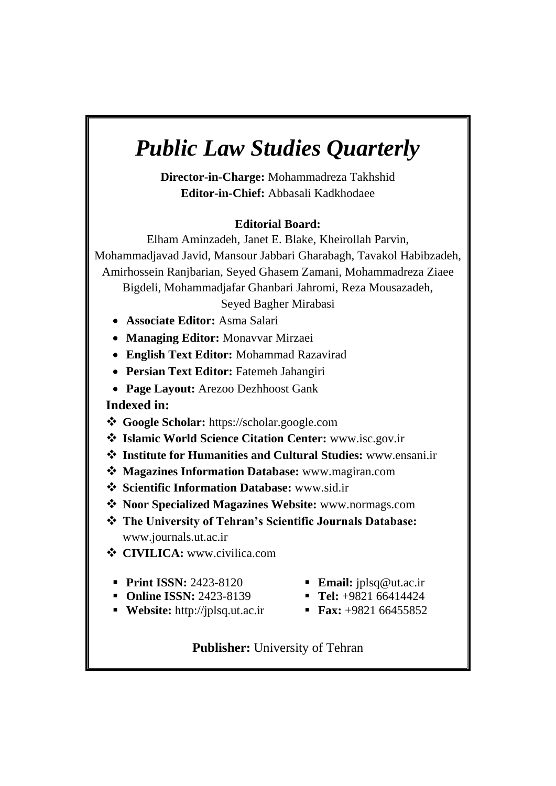# *Public Law Studies Quarterly*

**Director-in-Charge:** Mohammadreza Takhshid **Editor-in-Chief:** Abbasali Kadkhodaee

### **Editorial Board:**

Elham Aminzadeh, Janet E. Blake, Kheirollah Parvin, Mohammadjavad Javid, Mansour Jabbari Gharabagh, Tavakol Habibzadeh, Amirhossein Ranjbarian, Seyed Ghasem Zamani, Mohammadreza Ziaee Bigdeli, Mohammadjafar Ghanbari Jahromi, Reza Mousazadeh, Seyed Bagher Mirabasi

- **Associate Editor:** Asma Salari
- **Managing Editor:** Monavvar Mirzaei
- **English Text Editor:** Mohammad Razavirad
- **Persian Text Editor:** Fatemeh Jahangiri
- **Page Layout:** Arezoo Dezhhoost Gank

**Indexed in:** 

- **Google Scholar:** https://scholar.google.com
- **Islamic World Science Citation Center:** www.isc.gov.ir
- **Institute for Humanities and Cultural Studies:** www.ensani.ir
- **Magazines Information Database:** www.magiran.com
- **Scientific Information Database:** www.sid.ir
- **Noor Specialized Magazines Website:** www.normags.com
- **The University of Tehran's Scientific Journals Database:**  www.journals.ut.ac.ir
- **CIVILICA:** www.civilica.com
- **Print ISSN: 2423-8120**
- **Email:** jplsq@ut.ac.ir
- **Online ISSN: 2423-8139**
- **Website:** http://jplsq.ut.ac.ir
- **Tel:** +9821 66414424
- **Fax:** +9821 66455852

### **Publisher:** University of Tehran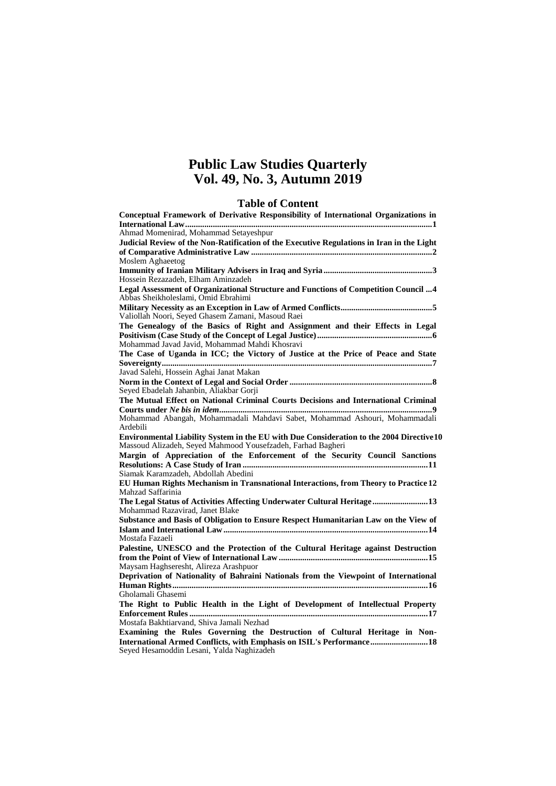### **Public Law Studies Quarterly Vol. 49, No. 3, Autumn 2019**

### **Table of Content**

| Conceptual Framework of Derivative Responsibility of International Organizations in                                                                            |
|----------------------------------------------------------------------------------------------------------------------------------------------------------------|
|                                                                                                                                                                |
| Ahmad Momenirad, Mohammad Setayeshpur                                                                                                                          |
| Judicial Review of the Non-Ratification of the Executive Regulations in Iran in the Light                                                                      |
|                                                                                                                                                                |
| Moslem Aghaeetog                                                                                                                                               |
| Hossein Rezazadeh, Elham Aminzadeh                                                                                                                             |
| Legal Assessment of Organizational Structure and Functions of Competition Council 4<br>Abbas Sheikholeslami, Omid Ebrahimi                                     |
| Valiollah Noori, Seyed Ghasem Zamani, Masoud Raei                                                                                                              |
| The Genealogy of the Basics of Right and Assignment and their Effects in Legal                                                                                 |
| Mohammad Javad Javid, Mohammad Mahdi Khosravi                                                                                                                  |
| The Case of Uganda in ICC; the Victory of Justice at the Price of Peace and State                                                                              |
| Javad Salehi, Hossein Aghai Janat Makan                                                                                                                        |
| Seyed Ebadelah Jahanbin, Aliakbar Gorji                                                                                                                        |
| The Mutual Effect on National Criminal Courts Decisions and International Criminal                                                                             |
|                                                                                                                                                                |
| Mohammad Abangah, Mohammadali Mahdavi Sabet, Mohammad Ashouri, Mohammadali<br>Ardebili                                                                         |
| <b>Environmental Liability System in the EU with Due Consideration to the 2004 Directive 10</b><br>Massoud Alizadeh, Seyed Mahmood Yousefzadeh, Farhad Bagheri |
| Margin of Appreciation of the Enforcement of the Security Council Sanctions                                                                                    |
|                                                                                                                                                                |
| Siamak Karamzadeh, Abdollah Abedini                                                                                                                            |
| EU Human Rights Mechanism in Transnational Interactions, from Theory to Practice 12                                                                            |
| Mahzad Saffarinia                                                                                                                                              |
| The Legal Status of Activities Affecting Underwater Cultural Heritage 13<br>Mohammad Razavirad, Janet Blake                                                    |
| Substance and Basis of Obligation to Ensure Respect Humanitarian Law on the View of                                                                            |
|                                                                                                                                                                |
| Mostafa Fazaeli                                                                                                                                                |
| Palestine, UNESCO and the Protection of the Cultural Heritage against Destruction                                                                              |
|                                                                                                                                                                |
| Maysam Haghseresht, Alireza Arashpuor                                                                                                                          |
| Deprivation of Nationality of Bahraini Nationals from the Viewpoint of International                                                                           |
|                                                                                                                                                                |
|                                                                                                                                                                |
| Gholamali Ghasemi                                                                                                                                              |
| The Right to Public Health in the Light of Development of Intellectual Property                                                                                |
|                                                                                                                                                                |
| Mostafa Bakhtiarvand, Shiva Jamali Nezhad                                                                                                                      |
| Examining the Rules Governing the Destruction of Cultural Heritage in Non-                                                                                     |
| International Armed Conflicts, with Emphasis on ISIL's Performance 18<br>Seyed Hesamoddin Lesani, Yalda Naghizadeh                                             |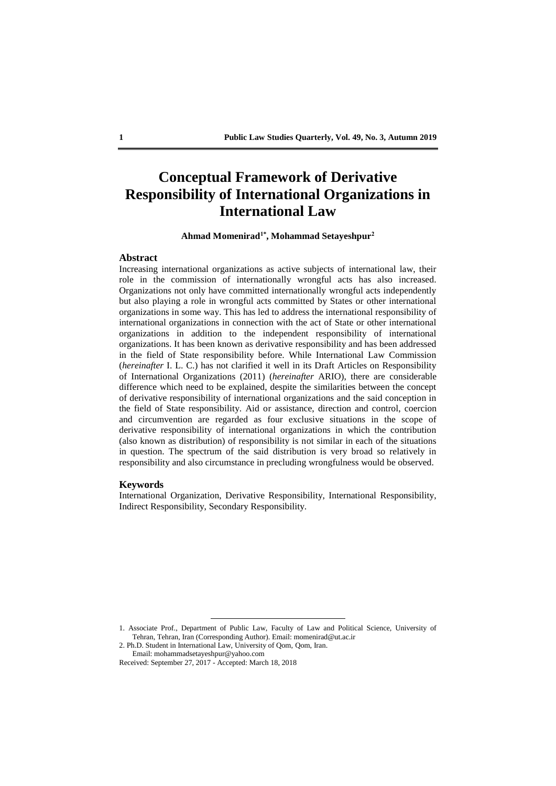### **Conceptual Framework of Derivative Responsibility of International Organizations in International Law**

**Ahmad Momenirad1\* , Mohammad Setayeshpur<sup>2</sup>**

#### **Abstract**

Increasing international organizations as active subjects of international law, their role in the commission of internationally wrongful acts has also increased. Organizations not only have committed internationally wrongful acts independently but also playing a role in wrongful acts committed by States or other international organizations in some way. This has led to address the international responsibility of international organizations in connection with the act of State or other international organizations in addition to the independent responsibility of international organizations. It has been known as derivative responsibility and has been addressed in the field of State responsibility before. While International Law Commission (*hereinafter* I. L. C.) has not clarified it well in its Draft Articles on Responsibility of International Organizations (2011) (*hereinafter* ARIO), there are considerable difference which need to be explained, despite the similarities between the concept of derivative responsibility of international organizations and the said conception in the field of State responsibility. Aid or assistance, direction and control, coercion and circumvention are regarded as four exclusive situations in the scope of derivative responsibility of international organizations in which the contribution (also known as distribution) of responsibility is not similar in each of the situations in question. The spectrum of the said distribution is very broad so relatively in responsibility and also circumstance in precluding wrongfulness would be observed.

#### **Keywords**

International Organization, Derivative Responsibility, International Responsibility, Indirect Responsibility, Secondary Responsibility.

2. Ph.D. Student in International Law, University of Qom, Qom, Iran. Email: mohammadsetayeshpur@yahoo.com

<sup>1.</sup> Associate Prof., Department of Public Law, Faculty of Law and Political Science, University of Tehran, Tehran, Iran (Corresponding Author). Email: momenirad@ut.ac.ir

Received: September 27, 2017 - Accepted: March 18, 2018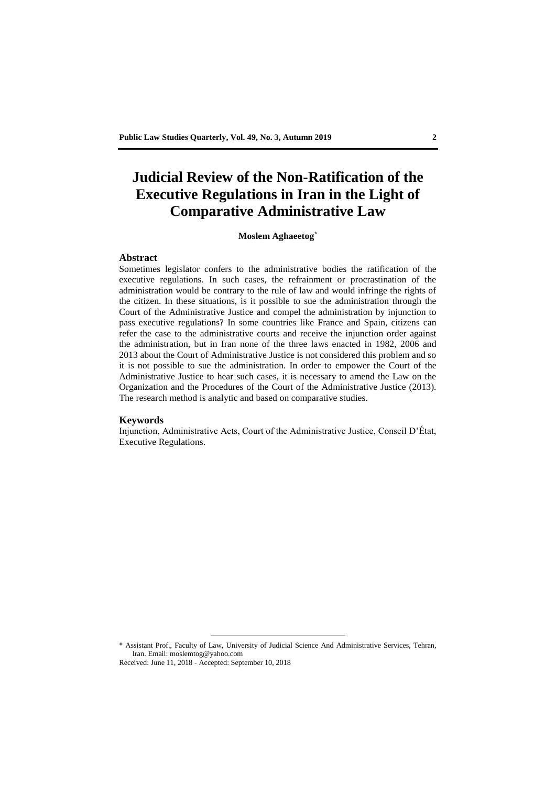# **Judicial Review of the Non-Ratification of the Executive Regulations in Iran in the Light of Comparative Administrative Law**

#### **Moslem Aghaeetog\***

#### **Abstract**

Sometimes legislator confers to the administrative bodies the ratification of the executive regulations. In such cases, the refrainment or procrastination of the administration would be contrary to the rule of law and would infringe the rights of the citizen. In these situations, is it possible to sue the administration through the Court of the Administrative Justice and compel the administration by injunction to pass executive regulations? In some countries like France and Spain, citizens can refer the case to the administrative courts and receive the injunction order against the administration, but in Iran none of the three laws enacted in 1982, 2006 and 2013 about the Court of Administrative Justice is not considered this problem and so it is not possible to sue the administration. In order to empower the Court of the Administrative Justice to hear such cases, it is necessary to amend the Law on the Organization and the Procedures of the Court of the Administrative Justice (2013). The research method is analytic and based on comparative studies.

#### **Keywords**

Injunction, Administrative Acts, Court of the Administrative Justice, Conseil D'État, Executive Regulations.

\* Assistant Prof., Faculty of Law, University of Judicial Science And Administrative Services, Tehran, Iran. Email: moslemtog@yahoo.com Received: June 11, 2018 - Accepted: September 10, 2018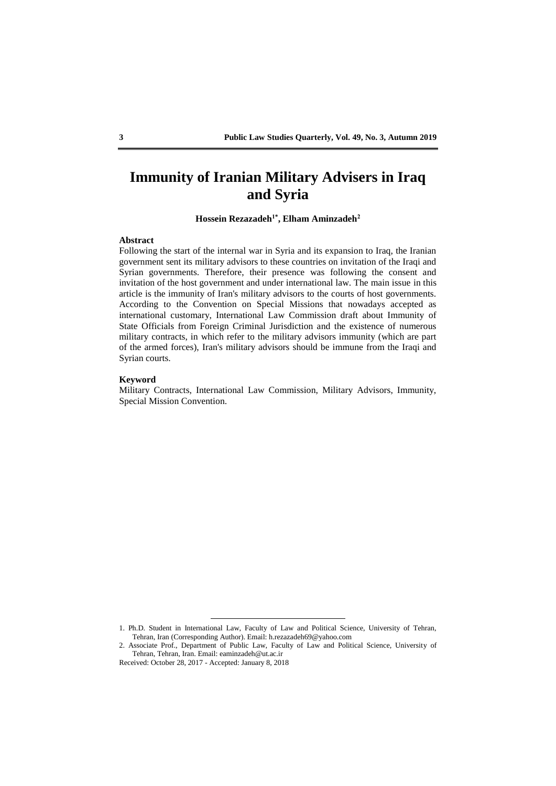### **Immunity of Iranian Military Advisers in Iraq and Syria**

**Hossein Rezazadeh1\* , Elham Aminzadeh<sup>2</sup>**

#### **Abstract**

Following the start of the internal war in Syria and its expansion to Iraq, the Iranian government sent its military advisors to these countries on invitation of the Iraqi and Syrian governments. Therefore, their presence was following the consent and invitation of the host government and under international law. The main issue in this article is the immunity of Iran's military advisors to the courts of host governments. According to the Convention on Special Missions that nowadays accepted as international customary, International Law Commission draft about Immunity of State Officials from Foreign Criminal Jurisdiction and the existence of numerous military contracts, in which refer to the military advisors immunity (which are part of the armed forces), Iran's military advisors should be immune from the Iraqi and Syrian courts.

#### **Keyword**

Military Contracts, International Law Commission, Military Advisors, Immunity, Special Mission Convention.

<sup>1.</sup> Ph.D. Student in International Law, Faculty of Law and Political Science, University of Tehran, Tehran, Iran (Corresponding Author). Email: h.rezazadeh69@yahoo.com

<sup>2.</sup> Associate Prof., Department of Public Law, Faculty of Law and Political Science, University of Tehran, Tehran, Iran. Email: eaminzadeh@ut.ac.ir

Received: October 28, 2017 - Accepted: January 8, 2018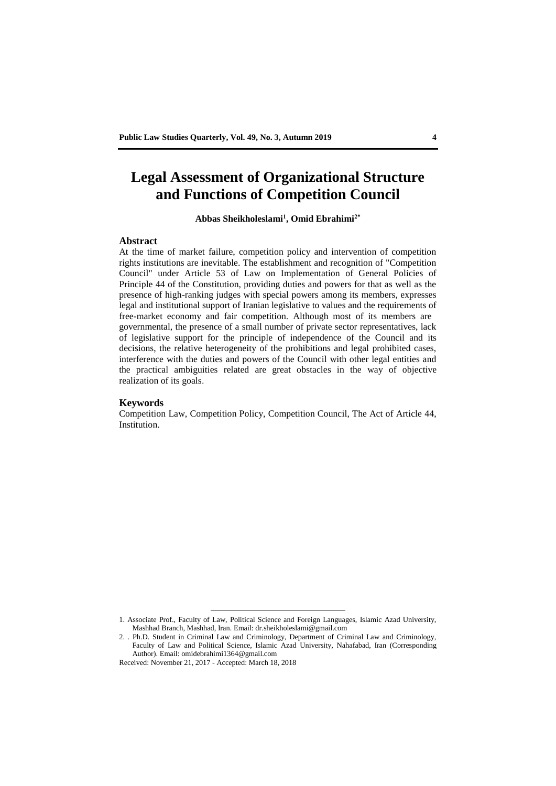# **Legal Assessment of Organizational Structure and Functions of Competition Council**

**Abbas Sheikholeslami<sup>1</sup> , Omid Ebrahimi2\***

#### **Abstract**

At the time of market failure, competition policy and intervention of competition rights institutions are inevitable. The establishment and recognition of "Competition Council" under Article 53 of Law on Implementation of General Policies of Principle 44 of the Constitution, providing duties and powers for that as well as the presence of high-ranking judges with special powers among its members, expresses legal and institutional support of Iranian legislative to values and the requirements of free-market economy and fair competition. Although most of its members are governmental, the presence of a small number of private sector representatives, lack of legislative support for the principle of independence of the Council and its decisions, the relative heterogeneity of the prohibitions and legal prohibited cases, interference with the duties and powers of the Council with other legal entities and the practical ambiguities related are great obstacles in the way of objective realization of its goals.

#### **Keywords**

Competition Law, Competition Policy, Competition Council, The Act of Article 44, Institution.

<u>.</u>

<sup>1.</sup> Associate Prof., Faculty of Law, Political Science and Foreign Languages, Islamic Azad University, Mashhad Branch, Mashhad, Iran. Email: dr.sheikholeslami@gmail.com

<sup>2.</sup> . Ph.D. Student in Criminal Law and Criminology, Department of Criminal Law and Criminology, Faculty of Law and Political Science, Islamic Azad University, Nahafabad, Iran (Corresponding Author). Email: omidebrahimi1364@gmail.com

Received: November 21, 2017 - Accepted: March 18, 2018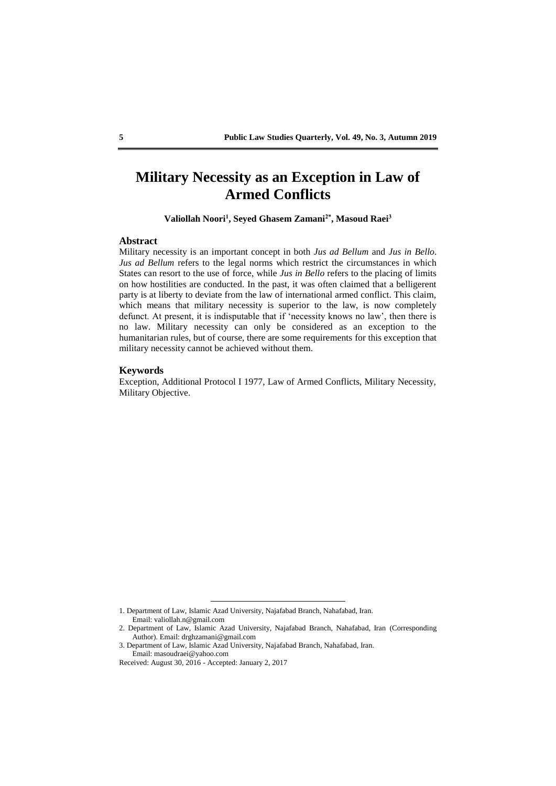### **Military Necessity as an Exception in Law of Armed Conflicts**

**Valiollah Noori<sup>1</sup> , Seyed Ghasem Zamani2\* , Masoud Raei<sup>3</sup>**

#### **Abstract**

Military necessity is an important concept in both *Jus ad Bellum* and *Jus in Bello*. *Jus ad Bellum* refers to the legal norms which restrict the circumstances in which States can resort to the use of force, while *Jus in Bello* refers to the placing of limits on how hostilities are conducted. In the past, it was often claimed that a belligerent party is at liberty to deviate from the law of international armed conflict. This claim, which means that military necessity is superior to the law, is now completely defunct. At present, it is indisputable that if 'necessity knows no law', then there is no law. Military necessity can only be considered as an exception to the humanitarian rules, but of course, there are some requirements for this exception that military necessity cannot be achieved without them.

#### **Keywords**

Exception, Additional Protocol I 1977, Law of Armed Conflicts, Military Necessity, Military Objective.

<sup>1.</sup> Department of Law, Islamic Azad University, Najafabad Branch, Nahafabad, Iran. Email: valiollah.n@gmail.com

<sup>2.</sup> Department of Law, Islamic Azad University, Najafabad Branch, Nahafabad, Iran (Corresponding Author). Email: drghzamani@gmail.com

<sup>3.</sup> Department of Law, Islamic Azad University, Najafabad Branch, Nahafabad, Iran. Email: masoudraei@yahoo.com

Received: August 30, 2016 - Accepted: January 2, 2017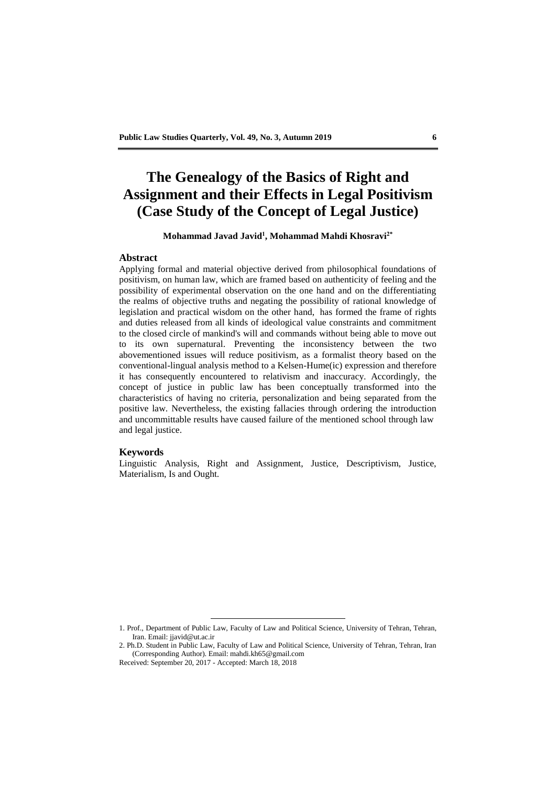# **The Genealogy of the Basics of Right and Assignment and their Effects in Legal Positivism (Case Study of the Concept of Legal Justice)**

#### **Mohammad Javad Javid<sup>1</sup> , Mohammad Mahdi Khosravi2\***

#### **Abstract**

Applying formal and material objective derived from philosophical foundations of positivism, on human law, which are framed based on authenticity of feeling and the possibility of experimental observation on the one hand and on the differentiating the realms of objective truths and negating the possibility of rational knowledge of legislation and practical wisdom on the other hand, has formed the frame of rights and duties released from all kinds of ideological value constraints and commitment to the closed circle of mankind's will and commands without being able to move out to its own supernatural. Preventing the inconsistency between the two abovementioned issues will reduce positivism, as a formalist theory based on the conventional-lingual analysis method to a Kelsen-Hume(ic) expression and therefore it has consequently encountered to relativism and inaccuracy. Accordingly, the concept of justice in public law has been conceptually transformed into the characteristics of having no criteria, personalization and being separated from the positive law. Nevertheless, the existing fallacies through ordering the introduction and uncommittable results have caused failure of the mentioned school through law and legal justice.

#### **Keywords**

Linguistic Analysis, Right and Assignment, Justice, Descriptivism, Justice, Materialism, Is and Ought.

<sup>1.</sup> Prof., Department of Public Law, Faculty of Law and Political Science, University of Tehran, Tehran, Iran. Email: jjavid@ut.ac.ir

<sup>2.</sup> Ph.D. Student in Public Law, Faculty of Law and Political Science, University of Tehran, Tehran, Iran (Corresponding Author). Email: mahdi.kh65@gmail.com

Received: September 20, 2017 - Accepted: March 18, 2018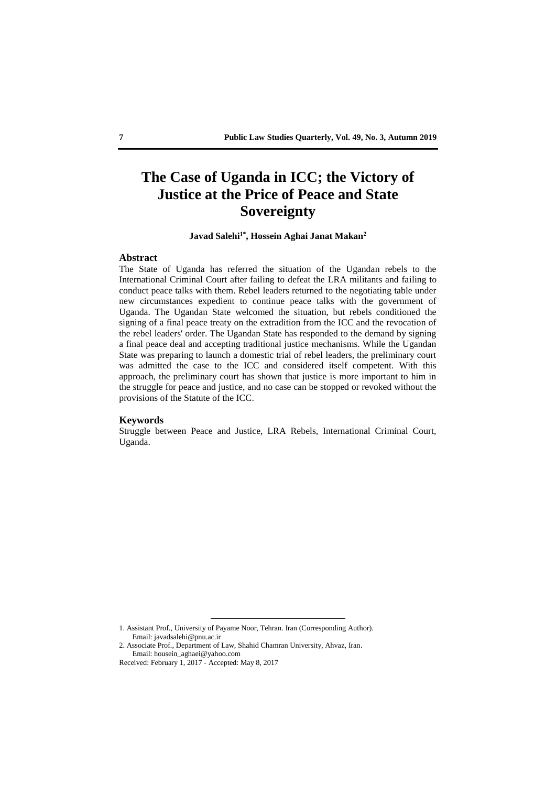# **The Case of Uganda in ICC; the Victory of Justice at the Price of Peace and State Sovereignty**

#### **Javad Salehi1\* , Hossein Aghai Janat Makan<sup>2</sup>**

#### **Abstract**

The State of Uganda has referred the situation of the Ugandan rebels to the International Criminal Court after failing to defeat the LRA militants and failing to conduct peace talks with them. Rebel leaders returned to the negotiating table under new circumstances expedient to continue peace talks with the government of Uganda. The Ugandan State welcomed the situation, but rebels conditioned the signing of a final peace treaty on the extradition from the ICC and the revocation of the rebel leaders' order. The Ugandan State has responded to the demand by signing a final peace deal and accepting traditional justice mechanisms. While the Ugandan State was preparing to launch a domestic trial of rebel leaders, the preliminary court was admitted the case to the ICC and considered itself competent. With this approach, the preliminary court has shown that justice is more important to him in the struggle for peace and justice, and no case can be stopped or revoked without the provisions of the Statute of the ICC.

#### **Keywords**

Struggle between Peace and Justice, LRA Rebels, International Criminal Court, Uganda.

<sup>1.</sup> Assistant Prof., University of Payame Noor, Tehran. Iran (Corresponding Author). Email: javadsalehi@pnu.ac.ir

<sup>2.</sup> Associate Prof., Department of Law, Shahid Chamran University, Ahvaz, Iran. Email: housein\_aghaei@yahoo.com

Received: February 1, 2017 - Accepted: May 8, 2017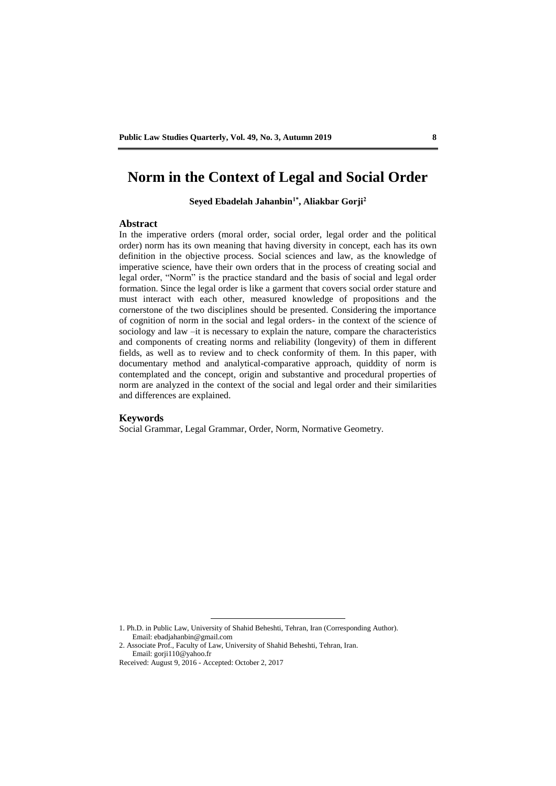### **Norm in the Context of Legal and Social Order**

**Seyed Ebadelah Jahanbin1\* , Aliakbar Gorji<sup>2</sup>**

#### **Abstract**

In the imperative orders (moral order, social order, legal order and the political order) norm has its own meaning that having diversity in concept, each has its own definition in the objective process. Social sciences and law, as the knowledge of imperative science, have their own orders that in the process of creating social and legal order, "Norm" is the practice standard and the basis of social and legal order formation. Since the legal order is like a garment that covers social order stature and must interact with each other, measured knowledge of propositions and the cornerstone of the two disciplines should be presented. Considering the importance of cognition of norm in the social and legal orders- in the context of the science of sociology and law –it is necessary to explain the nature, compare the characteristics and components of creating norms and reliability (longevity) of them in different fields, as well as to review and to check conformity of them. In this paper, with documentary method and analytical-comparative approach, quiddity of norm is contemplated and the concept, origin and substantive and procedural properties of norm are analyzed in the context of the social and legal order and their similarities and differences are explained.

#### **Keywords**

Social Grammar, Legal Grammar, Order, Norm, Normative Geometry.

<sup>1.</sup> Ph.D. in Public Law, University of Shahid Beheshti, Tehran, Iran (Corresponding Author). Email: ebadjahanbin@gmail.com

<sup>2.</sup> Associate Prof., Faculty of Law, University of Shahid Beheshti, Tehran, Iran. Email: gorji110@yahoo.fr

Received: August 9, 2016 - Accepted: October 2, 2017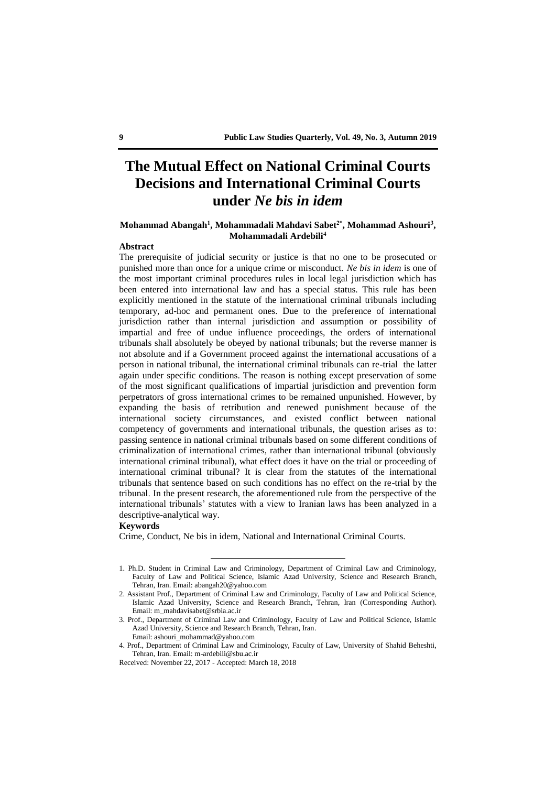### **The Mutual Effect on National Criminal Courts Decisions and International Criminal Courts under** *Ne bis in idem*

#### **Mohammad Abangah<sup>1</sup> , Mohammadali Mahdavi Sabet2\* , Mohammad Ashouri<sup>3</sup> , Mohammadali Ardebili<sup>4</sup>**

#### **Abstract**

The prerequisite of judicial security or justice is that no one to be prosecuted or punished more than once for a unique crime or misconduct. *Ne bis in idem* is one of the most important criminal procedures rules in local legal jurisdiction which has been entered into international law and has a special status. This rule has been explicitly mentioned in the statute of the international criminal tribunals including temporary, ad-hoc and permanent ones. Due to the preference of international jurisdiction rather than internal jurisdiction and assumption or possibility of impartial and free of undue influence proceedings, the orders of international tribunals shall absolutely be obeyed by national tribunals; but the reverse manner is not absolute and if a Government proceed against the international accusations of a person in national tribunal, the international criminal tribunals can re-trial the latter again under specific conditions. The reason is nothing except preservation of some of the most significant qualifications of impartial jurisdiction and prevention form perpetrators of gross international crimes to be remained unpunished. However, by expanding the basis of retribution and renewed punishment because of the international society circumstances, and existed conflict between national competency of governments and international tribunals, the question arises as to: passing sentence in national criminal tribunals based on some different conditions of criminalization of international crimes, rather than international tribunal (obviously international criminal tribunal), what effect does it have on the trial or proceeding of international criminal tribunal? It is clear from the statutes of the international tribunals that sentence based on such conditions has no effect on the re-trial by the tribunal. In the present research, the aforementioned rule from the perspective of the international tribunals' statutes with a view to Iranian laws has been analyzed in a descriptive-analytical way.

#### **Keywords**

Crime, Conduct, Ne bis in idem, National and International Criminal Courts.

<sup>1.</sup> Ph.D. Student in Criminal Law and Criminology, Department of Criminal Law and Criminology, Faculty of Law and Political Science, Islamic Azad University, Science and Research Branch, Tehran, Iran. Email: abangah20@yahoo.com

<sup>2.</sup> Assistant Prof., Department of Criminal Law and Criminology, Faculty of Law and Political Science, Islamic Azad University, Science and Research Branch, Tehran, Iran (Corresponding Author). Email: m\_mahdavisabet@srbia.ac.ir

<sup>3.</sup> Prof., Department of Criminal Law and Criminology, Faculty of Law and Political Science, Islamic Azad University, Science and Research Branch, Tehran, Iran. Email: ashouri\_mohammad@yahoo.com

<sup>4.</sup> Prof., Department of Criminal Law and Criminology, Faculty of Law, University of Shahid Beheshti, Tehran, Iran. Email: m-ardebili@sbu.ac.ir

Received: November 22, 2017 - Accepted: March 18, 2018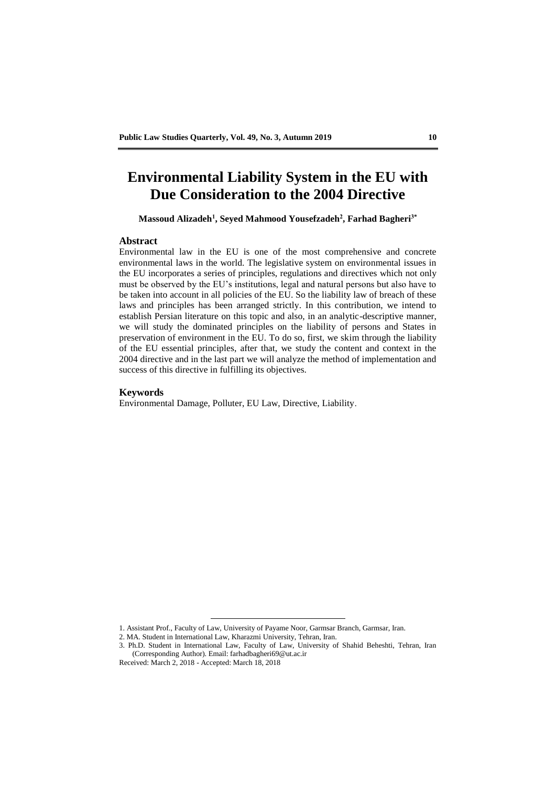# **Environmental Liability System in the EU with Due Consideration to the 2004 Directive**

**Massoud Alizadeh<sup>1</sup> , Seyed Mahmood Yousefzadeh<sup>2</sup> , Farhad Bagheri3\***

#### **Abstract**

Environmental law in the EU is one of the most comprehensive and concrete environmental laws in the world. The legislative system on environmental issues in the EU incorporates a series of principles, regulations and directives which not only must be observed by the EU's institutions, legal and natural persons but also have to be taken into account in all policies of the EU. So the liability law of breach of these laws and principles has been arranged strictly. In this contribution, we intend to establish Persian literature on this topic and also, in an analytic-descriptive manner, we will study the dominated principles on the liability of persons and States in preservation of environment in the EU. To do so, first, we skim through the liability of the EU essential principles, after that, we study the content and context in the 2004 directive and in the last part we will analyze the method of implementation and success of this directive in fulfilling its objectives.

#### **Keywords**

Environmental Damage, Polluter, EU Law, Directive, Liability.

<sup>1.</sup> Assistant Prof., Faculty of Law, University of Payame Noor, Garmsar Branch, Garmsar, Iran.

<sup>2.</sup> MA. Student in International Law, Kharazmi University, Tehran, Iran.

<sup>3.</sup> Ph.D. Student in International Law, Faculty of Law, University of Shahid Beheshti, Tehran, Iran (Corresponding Author). Email: farhadbagheri69@ut.ac.ir

Received: March 2, 2018 - Accepted: March 18, 2018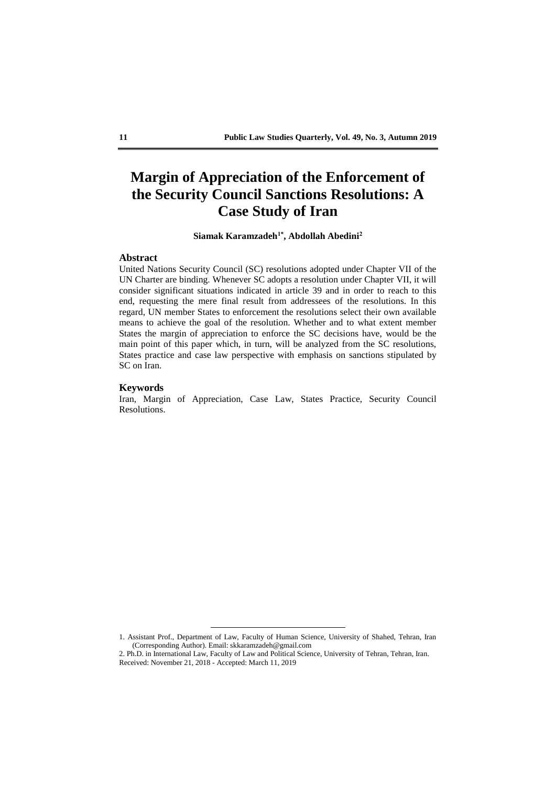# **Margin of Appreciation of the Enforcement of the Security Council Sanctions Resolutions: A Case Study of Iran**

**Siamak Karamzadeh1\* , Abdollah Abedini<sup>2</sup>**

#### **Abstract**

United Nations Security Council (SC) resolutions adopted under Chapter VII of the UN Charter are binding. Whenever SC adopts a resolution under Chapter VII, it will consider significant situations indicated in article 39 and in order to reach to this end, requesting the mere final result from addressees of the resolutions. In this regard, UN member States to enforcement the resolutions select their own available means to achieve the goal of the resolution. Whether and to what extent member States the margin of appreciation to enforce the SC decisions have, would be the main point of this paper which, in turn, will be analyzed from the SC resolutions, States practice and case law perspective with emphasis on sanctions stipulated by SC on Iran.

#### **Keywords**

Iran, Margin of Appreciation, Case Law, States Practice, Security Council Resolutions.

<u>.</u>

<sup>1.</sup> Assistant Prof., Department of Law, Faculty of Human Science, University of Shahed, Tehran, Iran (Corresponding Author). Email: skkaramzadeh@gmail.com

<sup>2.</sup> Ph.D. in International Law, Faculty of Law and Political Science, University of Tehran, Tehran, Iran. Received: November 21, 2018 - Accepted: March 11, 2019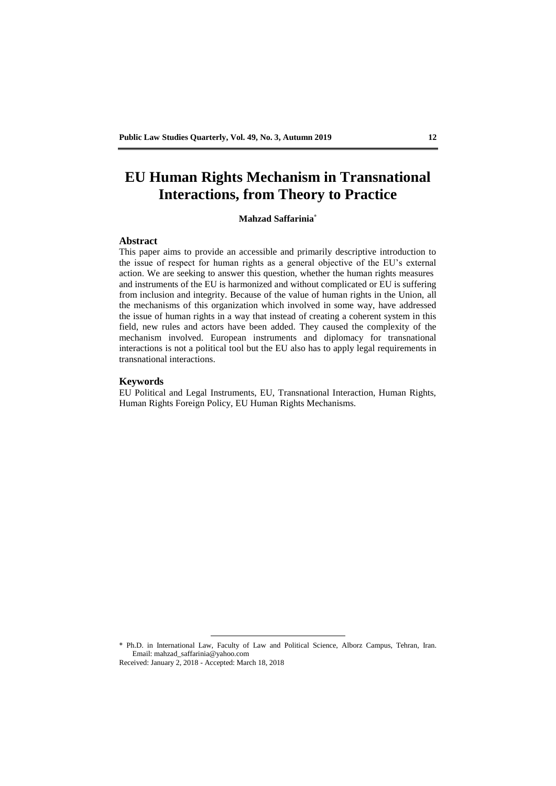# **EU Human Rights Mechanism in Transnational Interactions, from Theory to Practice**

#### **Mahzad Saffarinia\***

#### **Abstract**

This paper aims to provide an accessible and primarily descriptive introduction to the issue of respect for human rights as a general objective of the EU's external action. We are seeking to answer this question, whether the human rights measures and instruments of the EU is harmonized and without complicated or EU is suffering from inclusion and integrity. Because of the value of human rights in the Union, all the mechanisms of this organization which involved in some way, have addressed the issue of human rights in a way that instead of creating a coherent system in this field, new rules and actors have been added. They caused the complexity of the mechanism involved. European instruments and diplomacy for transnational interactions is not a political tool but the EU also has to apply legal requirements in transnational interactions.

#### **Keywords**

EU Political and Legal Instruments, EU, Transnational Interaction, Human Rights, Human Rights Foreign Policy, EU Human Rights Mechanisms.

\* Ph.D. in International Law, Faculty of Law and Political Science, Alborz Campus, Tehran, Iran. Email: mahzad\_saffarinia@yahoo.com Received: January 2, 2018 - Accepted: March 18, 2018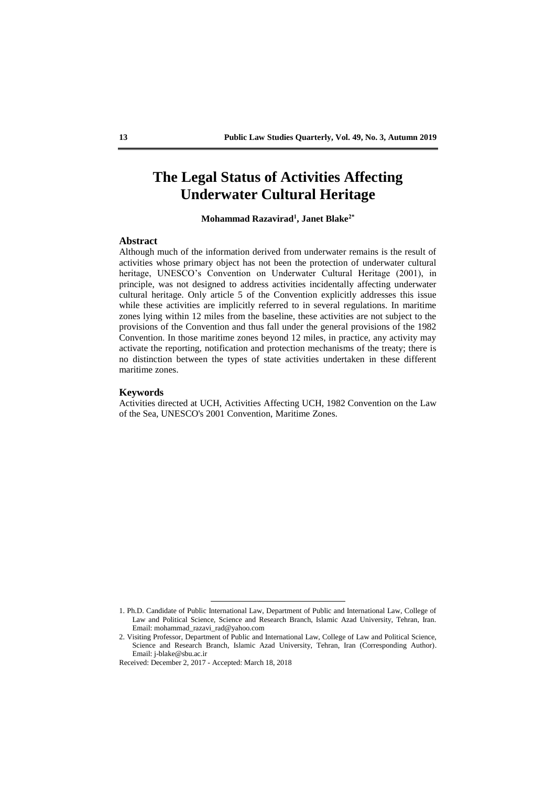### **The Legal Status of Activities Affecting Underwater Cultural Heritage**

**Mohammad Razavirad<sup>1</sup> , Janet Blake2\***

#### **Abstract**

Although much of the information derived from underwater remains is the result of activities whose primary object has not been the protection of underwater cultural heritage, UNESCO's Convention on Underwater Cultural Heritage (2001), in principle, was not designed to address activities incidentally affecting underwater cultural heritage. Only article 5 of the Convention explicitly addresses this issue while these activities are implicitly referred to in several regulations. In maritime zones lying within 12 miles from the baseline, these activities are not subject to the provisions of the Convention and thus fall under the general provisions of the 1982 Convention. In those maritime zones beyond 12 miles, in practice, any activity may activate the reporting, notification and protection mechanisms of the treaty; there is no distinction between the types of state activities undertaken in these different maritime zones.

#### **Keywords**

Activities directed at UCH, Activities Affecting UCH, 1982 Convention on the Law of the Sea, UNESCO's 2001 Convention, Maritime Zones.

<sup>1.</sup> Ph.D. Candidate of Public International Law, Department of Public and International Law, College of Law and Political Science, Science and Research Branch, Islamic Azad University, Tehran, Iran. Email: mohammad\_razavi\_rad@yahoo.com

<sup>2.</sup> Visiting Professor, Department of Public and International Law, College of Law and Political Science, Science and Research Branch, Islamic Azad University, Tehran, Iran (Corresponding Author). Email: j-blake@sbu.ac.ir

Received: December 2, 2017 - Accepted: March 18, 2018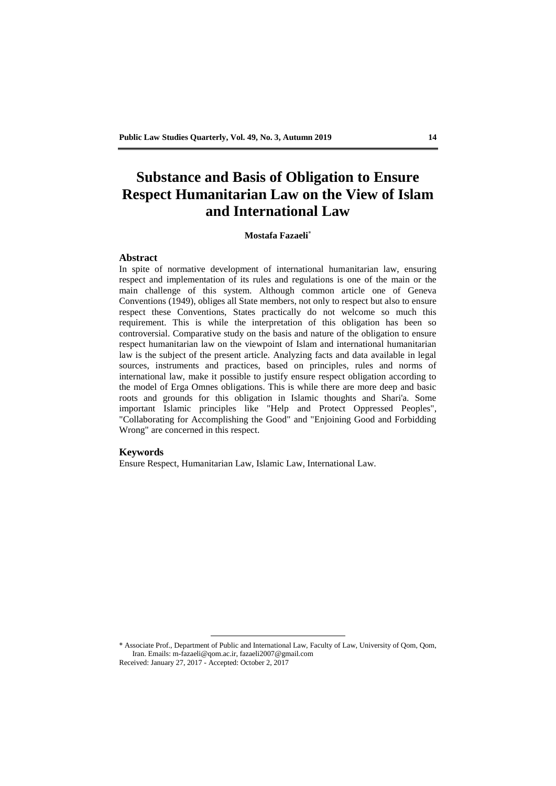### **Substance and Basis of Obligation to Ensure Respect Humanitarian Law on the View of Islam and International Law**

#### **Mostafa Fazaeli**\*

#### **Abstract**

In spite of normative development of international humanitarian law, ensuring respect and implementation of its rules and regulations is one of the main or the main challenge of this system. Although common article one of Geneva Conventions (1949), obliges all State members, not only to respect but also to ensure respect these Conventions, States practically do not welcome so much this requirement. This is while the interpretation of this obligation has been so controversial. Comparative study on the basis and nature of the obligation to ensure respect humanitarian law on the viewpoint of Islam and international humanitarian law is the subject of the present article. Analyzing facts and data available in legal sources, instruments and practices, based on principles, rules and norms of international law, make it possible to justify ensure respect obligation according to the model of Erga Omnes obligations. This is while there are more deep and basic roots and grounds for this obligation in Islamic thoughts and Shari'a. Some important Islamic principles like "Help and Protect Oppressed Peoples", "Collaborating for Accomplishing the Good" and "Enjoining Good and Forbidding Wrong" are concerned in this respect.

#### **Keywords**

Ensure Respect, Humanitarian Law, Islamic Law, International Law.

\* Associate Prof., Department of Public and International Law, Faculty of Law, University of Qom, Qom, Iran. Emails: m-fazaeli@qom.ac.ir, fazaeli2007@gmail.com Received: January 27, 2017 - Accepted: October 2, 2017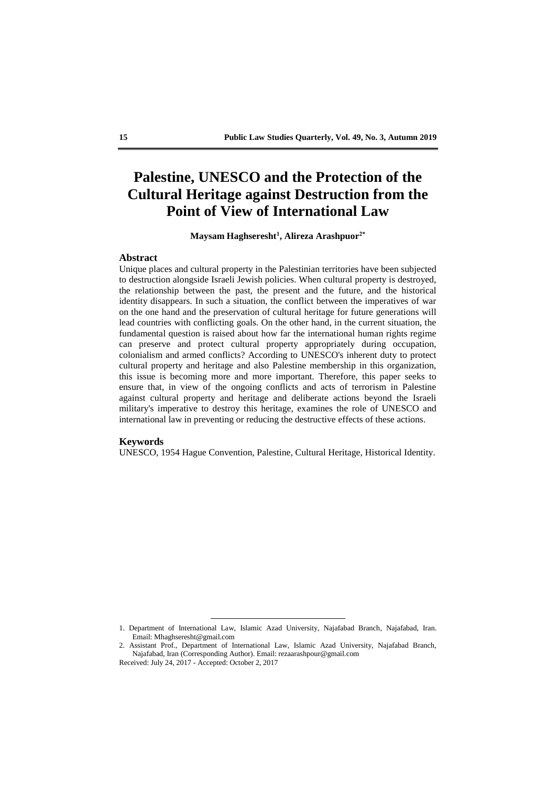### **Palestine, UNESCO and the Protection of the Cultural Heritage against Destruction from the Point of View of International Law**

**Maysam Haghseresht<sup>1</sup> , Alireza Arashpuor2\***

#### **Abstract**

Unique places and cultural property in the Palestinian territories have been subjected to destruction alongside Israeli Jewish policies. When cultural property is destroyed, the relationship between the past, the present and the future, and the historical identity disappears. In such a situation, the conflict between the imperatives of war on the one hand and the preservation of cultural heritage for future generations will lead countries with conflicting goals. On the other hand, in the current situation, the fundamental question is raised about how far the international human rights regime can preserve and protect cultural property appropriately during occupation, colonialism and armed conflicts? According to UNESCO's inherent duty to protect cultural property and heritage and also Palestine membership in this organization, this issue is becoming more and more important. Therefore, this paper seeks to ensure that, in view of the ongoing conflicts and acts of terrorism in Palestine against cultural property and heritage and deliberate actions beyond the Israeli military's imperative to destroy this heritage, examines the role of UNESCO and international law in preventing or reducing the destructive effects of these actions.

#### **Keywords**

UNESCO, 1954 Hague Convention, Palestine, Cultural Heritage, Historical Identity.

<sup>1.</sup> Department of International Law, Islamic Azad University, Najafabad Branch, Najafabad, Iran. Email: Mhaghseresht@gmail.com

<sup>2.</sup> Assistant Prof., Department of International Law, Islamic Azad University, Najafabad Branch, Najafabad, Iran (Corresponding Author). Email: rezaarashpour@gmail.com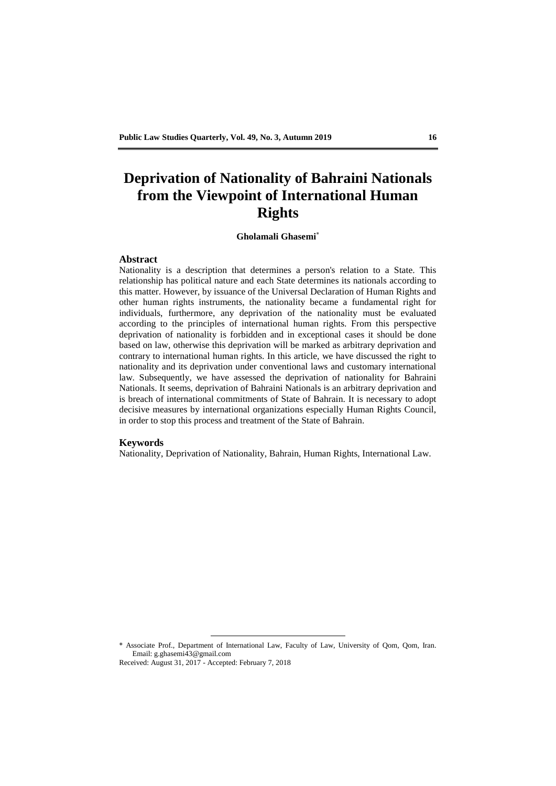# **Deprivation of Nationality of Bahraini Nationals from the Viewpoint of International Human Rights**

#### **Gholamali Ghasemi**\*

#### **Abstract**

Nationality is a description that determines a person's relation to a State. This relationship has political nature and each State determines its nationals according to this matter. However, by issuance of the Universal Declaration of Human Rights and other human rights instruments, the nationality became a fundamental right for individuals, furthermore, any deprivation of the nationality must be evaluated according to the principles of international human rights. From this perspective deprivation of nationality is forbidden and in exceptional cases it should be done based on law, otherwise this deprivation will be marked as arbitrary deprivation and contrary to international human rights. In this article, we have discussed the right to nationality and its deprivation under conventional laws and customary international law. Subsequently, we have assessed the deprivation of nationality for Bahraini Nationals. It seems, deprivation of Bahraini Nationals is an arbitrary deprivation and is breach of international commitments of State of Bahrain. It is necessary to adopt decisive measures by international organizations especially Human Rights Council, in order to stop this process and treatment of the State of Bahrain.

#### **Keywords**

Nationality, Deprivation of Nationality, Bahrain, Human Rights, International Law.

\* Associate Prof., Department of International Law, Faculty of Law, University of Qom, Qom, Iran. Email: g.ghasemi43@gmail.com Received: August 31, 2017 - Accepted: February 7, 2018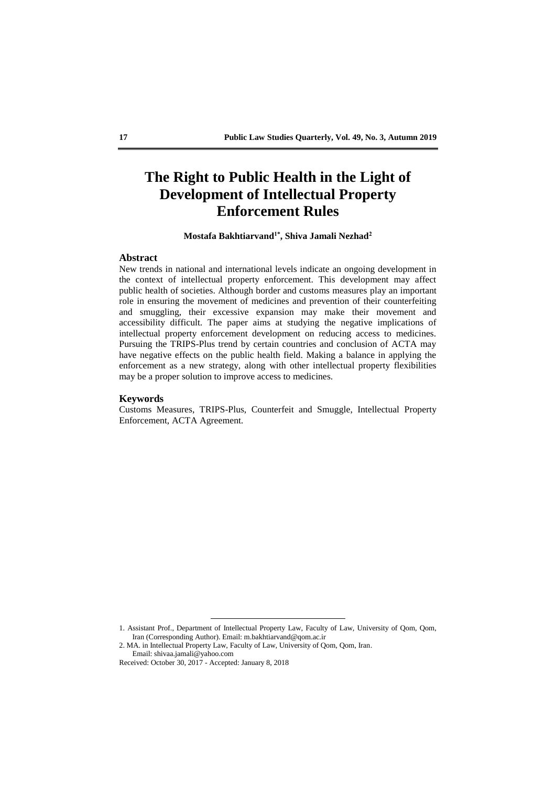### **The Right to Public Health in the Light of Development of Intellectual Property Enforcement Rules**

#### **Mostafa Bakhtiarvand1\* , Shiva Jamali Nezhad<sup>2</sup>**

#### **Abstract**

New trends in national and international levels indicate an ongoing development in the context of intellectual property enforcement. This development may affect public health of societies. Although border and customs measures play an important role in ensuring the movement of medicines and prevention of their counterfeiting and smuggling, their excessive expansion may make their movement and accessibility difficult. The paper aims at studying the negative implications of intellectual property enforcement development on reducing access to medicines. Pursuing the TRIPS-Plus trend by certain countries and conclusion of ACTA may have negative effects on the public health field. Making a balance in applying the enforcement as a new strategy, along with other intellectual property flexibilities may be a proper solution to improve access to medicines.

#### **Keywords**

Customs Measures, TRIPS-Plus, Counterfeit and Smuggle, Intellectual Property Enforcement, ACTA Agreement.

<sup>1.</sup> Assistant Prof., Department of Intellectual Property Law, Faculty of Law, University of Qom, Qom, Iran (Corresponding Author). Email: m.bakhtiarvand@qom.ac.ir

<sup>2.</sup> MA. in Intellectual Property Law, Faculty of Law, University of Qom, Qom, Iran.

Email: shivaa.jamali@yahoo.com

Received: October 30, 2017 - Accepted: January 8, 2018